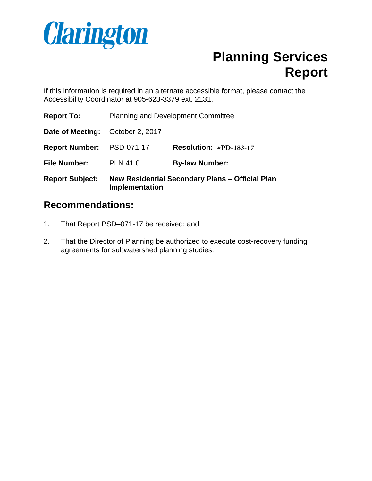

# **Planning Services Report**

If this information is required in an alternate accessible format, please contact the Accessibility Coordinator at 905-623-3379 ext. 2131.

| <b>Report Subject:</b> | New Residential Secondary Plans - Official Plan<br>Implementation |                        |
|------------------------|-------------------------------------------------------------------|------------------------|
| <b>File Number:</b>    | <b>PLN 41.0</b>                                                   | <b>By-law Number:</b>  |
| <b>Report Number:</b>  | PSD-071-17                                                        | Resolution: #PD-183-17 |
| Date of Meeting:       | October 2, 2017                                                   |                        |
| <b>Report To:</b>      | <b>Planning and Development Committee</b>                         |                        |

### **Recommendations:**

- 1. That Report PSD–071-17 be received; and
- 2. That the Director of Planning be authorized to execute cost-recovery funding agreements for subwatershed planning studies.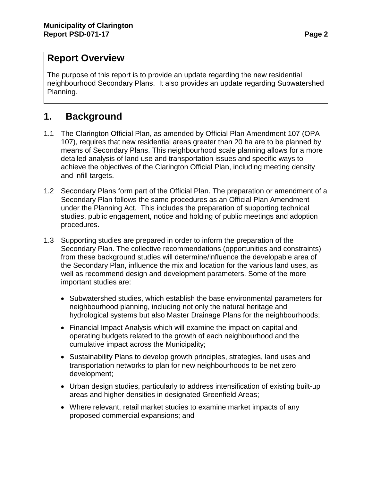### **Report Overview**

The purpose of this report is to provide an update regarding the new residential neighbourhood Secondary Plans. It also provides an update regarding Subwatershed Planning.

# **1. Background**

- 1.1 The Clarington Official Plan, as amended by Official Plan Amendment 107 (OPA 107), requires that new residential areas greater than 20 ha are to be planned by means of Secondary Plans. This neighbourhood scale planning allows for a more detailed analysis of land use and transportation issues and specific ways to achieve the objectives of the Clarington Official Plan, including meeting density and infill targets.
- 1.2 Secondary Plans form part of the Official Plan. The preparation or amendment of a Secondary Plan follows the same procedures as an Official Plan Amendment under the Planning Act. This includes the preparation of supporting technical studies, public engagement, notice and holding of public meetings and adoption procedures.
- 1.3 Supporting studies are prepared in order to inform the preparation of the Secondary Plan. The collective recommendations (opportunities and constraints) from these background studies will determine/influence the developable area of the Secondary Plan, influence the mix and location for the various land uses, as well as recommend design and development parameters. Some of the more important studies are:
	- Subwatershed studies, which establish the base environmental parameters for neighbourhood planning, including not only the natural heritage and hydrological systems but also Master Drainage Plans for the neighbourhoods;
	- Financial Impact Analysis which will examine the impact on capital and operating budgets related to the growth of each neighbourhood and the cumulative impact across the Municipality;
	- Sustainability Plans to develop growth principles, strategies, land uses and transportation networks to plan for new neighbourhoods to be net zero development;
	- Urban design studies, particularly to address intensification of existing built-up areas and higher densities in designated Greenfield Areas;
	- Where relevant, retail market studies to examine market impacts of any proposed commercial expansions; and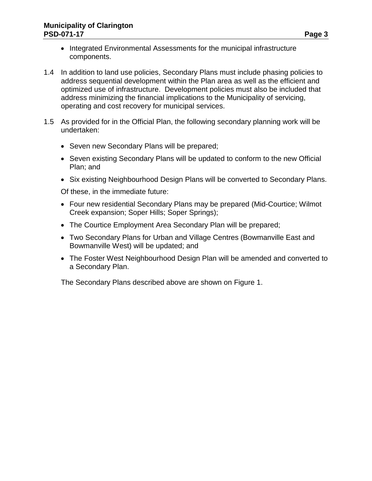- Integrated Environmental Assessments for the municipal infrastructure components.
- 1.4 In addition to land use policies, Secondary Plans must include phasing policies to address sequential development within the Plan area as well as the efficient and optimized use of infrastructure. Development policies must also be included that address minimizing the financial implications to the Municipality of servicing, operating and cost recovery for municipal services.
- 1.5 As provided for in the Official Plan, the following secondary planning work will be undertaken:
	- Seven new Secondary Plans will be prepared;
	- Seven existing Secondary Plans will be updated to conform to the new Official Plan; and
	- Six existing Neighbourhood Design Plans will be converted to Secondary Plans.

Of these, in the immediate future:

- Four new residential Secondary Plans may be prepared (Mid-Courtice; Wilmot Creek expansion; Soper Hills; Soper Springs);
- The Courtice Employment Area Secondary Plan will be prepared;
- Two Secondary Plans for Urban and Village Centres (Bowmanville East and Bowmanville West) will be updated; and
- The Foster West Neighbourhood Design Plan will be amended and converted to a Secondary Plan.

The Secondary Plans described above are shown on Figure 1.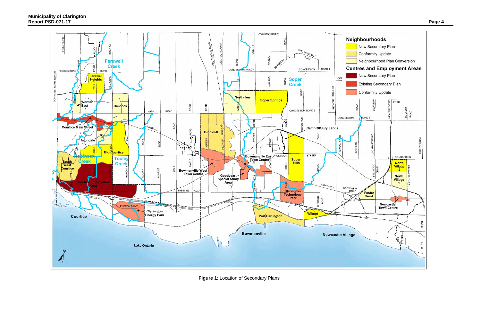

**Figure 1**: Location of Secondary Plans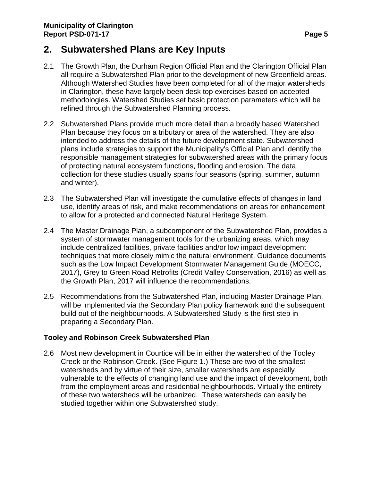# **2. Subwatershed Plans are Key Inputs**

- 2.1 The Growth Plan, the Durham Region Official Plan and the Clarington Official Plan all require a Subwatershed Plan prior to the development of new Greenfield areas. Although Watershed Studies have been completed for all of the major watersheds in Clarington, these have largely been desk top exercises based on accepted methodologies. Watershed Studies set basic protection parameters which will be refined through the Subwatershed Planning process.
- 2.2 Subwatershed Plans provide much more detail than a broadly based Watershed Plan because they focus on a tributary or area of the watershed. They are also intended to address the details of the future development state. Subwatershed plans include strategies to support the Municipality's Official Plan and identify the responsible management strategies for subwatershed areas with the primary focus of protecting natural ecosystem functions, flooding and erosion. The data collection for these studies usually spans four seasons (spring, summer, autumn and winter).
- 2.3 The Subwatershed Plan will investigate the cumulative effects of changes in land use, identify areas of risk, and make recommendations on areas for enhancement to allow for a protected and connected Natural Heritage System.
- 2.4 The Master Drainage Plan, a subcomponent of the Subwatershed Plan, provides a system of stormwater management tools for the urbanizing areas, which may include centralized facilities, private facilities and/or low impact development techniques that more closely mimic the natural environment. Guidance documents such as the Low Impact Development Stormwater Management Guide (MOECC, 2017), Grey to Green Road Retrofits (Credit Valley Conservation, 2016) as well as the Growth Plan, 2017 will influence the recommendations.
- 2.5 Recommendations from the Subwatershed Plan, including Master Drainage Plan, will be implemented via the Secondary Plan policy framework and the subsequent build out of the neighbourhoods. A Subwatershed Study is the first step in preparing a Secondary Plan.

#### **Tooley and Robinson Creek Subwatershed Plan**

2.6 Most new development in Courtice will be in either the watershed of the Tooley Creek or the Robinson Creek. (See Figure 1.) These are two of the smallest watersheds and by virtue of their size, smaller watersheds are especially vulnerable to the effects of changing land use and the impact of development, both from the employment areas and residential neighbourhoods. Virtually the entirety of these two watersheds will be urbanized. These watersheds can easily be studied together within one Subwatershed study.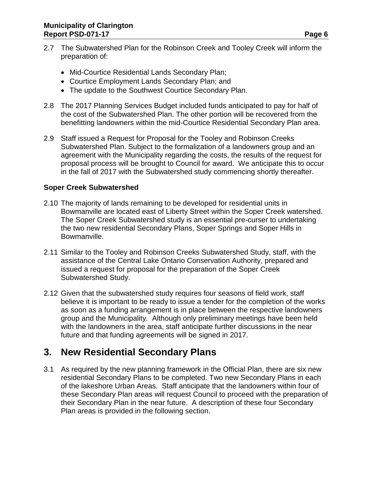- 2.7 The Subwatershed Plan for the Robinson Creek and Tooley Creek will inform the preparation of:
	- Mid-Courtice Residential Lands Secondary Plan;
	- Courtice Employment Lands Secondary Plan; and
	- The update to the Southwest Courtice Secondary Plan.
- 2.8 The 2017 Planning Services Budget included funds anticipated to pay for half of the cost of the Subwatershed Plan. The other portion will be recovered from the benefitting landowners within the mid-Courtice Residential Secondary Plan area.
- 2.9 Staff issued a Request for Proposal for the Tooley and Robinson Creeks Subwatershed Plan. Subject to the formalization of a landowners group and an agreement with the Municipality regarding the costs, the results of the request for proposal process will be brought to Council for award. We anticipate this to occur in the fall of 2017 with the Subwatershed study commencing shortly thereafter.

#### **Soper Creek Subwatershed**

- 2.10 The majority of lands remaining to be developed for residential units in Bowmanville are located east of Liberty Street within the Soper Creek watershed. The Soper Creek Subwatershed study is an essential pre-curser to undertaking the two new residential Secondary Plans, Soper Springs and Soper Hills in Bowmanville.
- 2.11 Similar to the Tooley and Robinson Creeks Subwatershed Study, staff, with the assistance of the Central Lake Ontario Conservation Authority, prepared and issued a request for proposal for the preparation of the Soper Creek Subwatershed Study.
- 2.12 Given that the subwatershed study requires four seasons of field work, staff believe it is important to be ready to issue a tender for the completion of the works as soon as a funding arrangement is in place between the respective landowners group and the Municipality. Although only preliminary meetings have been held with the landowners in the area, staff anticipate further discussions in the near future and that funding agreements will be signed in 2017.

### **3. New Residential Secondary Plans**

3.1 As required by the new planning framework in the Official Plan, there are six new residential Secondary Plans to be completed. Two new Secondary Plans in each of the lakeshore Urban Areas. Staff anticipate that the landowners within four of these Secondary Plan areas will request Council to proceed with the preparation of their Secondary Plan in the near future. A description of these four Secondary Plan areas is provided in the following section.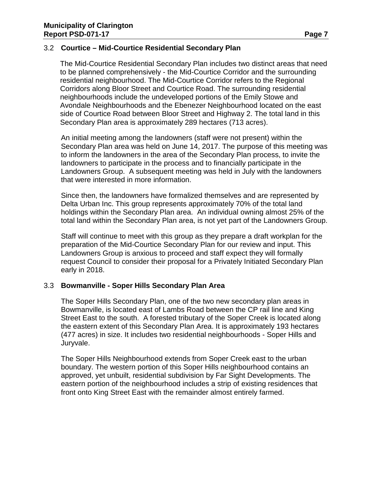#### 3.2 **Courtice – Mid-Courtice Residential Secondary Plan**

The Mid-Courtice Residential Secondary Plan includes two distinct areas that need to be planned comprehensively - the Mid-Courtice Corridor and the surrounding residential neighbourhood. The Mid-Courtice Corridor refers to the Regional Corridors along Bloor Street and Courtice Road. The surrounding residential neighbourhoods include the undeveloped portions of the Emily Stowe and Avondale Neighbourhoods and the Ebenezer Neighbourhood located on the east side of Courtice Road between Bloor Street and Highway 2. The total land in this Secondary Plan area is approximately 289 hectares (713 acres).

An initial meeting among the landowners (staff were not present) within the Secondary Plan area was held on June 14, 2017. The purpose of this meeting was to inform the landowners in the area of the Secondary Plan process, to invite the landowners to participate in the process and to financially participate in the Landowners Group. A subsequent meeting was held in July with the landowners that were interested in more information.

Since then, the landowners have formalized themselves and are represented by Delta Urban Inc. This group represents approximately 70% of the total land holdings within the Secondary Plan area. An individual owning almost 25% of the total land within the Secondary Plan area, is not yet part of the Landowners Group.

Staff will continue to meet with this group as they prepare a draft workplan for the preparation of the Mid-Courtice Secondary Plan for our review and input. This Landowners Group is anxious to proceed and staff expect they will formally request Council to consider their proposal for a Privately Initiated Secondary Plan early in 2018.

#### 3.3 **Bowmanville - Soper Hills Secondary Plan Area**

The Soper Hills Secondary Plan, one of the two new secondary plan areas in Bowmanville, is located east of Lambs Road between the CP rail line and King Street East to the south. A forested tributary of the Soper Creek is located along the eastern extent of this Secondary Plan Area. It is approximately 193 hectares (477 acres) in size. It includes two residential neighbourhoods - Soper Hills and Juryvale.

The Soper Hills Neighbourhood extends from Soper Creek east to the urban boundary. The western portion of this Soper Hills neighbourhood contains an approved, yet unbuilt, residential subdivision by Far Sight Developments. The eastern portion of the neighbourhood includes a strip of existing residences that front onto King Street East with the remainder almost entirely farmed.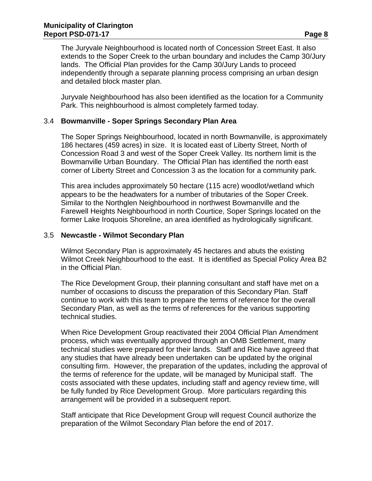The Juryvale Neighbourhood is located north of Concession Street East. It also extends to the Soper Creek to the urban boundary and includes the Camp 30/Jury lands. The Official Plan provides for the Camp 30/Jury Lands to proceed independently through a separate planning process comprising an urban design and detailed block master plan.

Juryvale Neighbourhood has also been identified as the location for a Community Park. This neighbourhood is almost completely farmed today.

#### 3.4 **Bowmanville - Soper Springs Secondary Plan Area**

The Soper Springs Neighbourhood, located in north Bowmanville, is approximately 186 hectares (459 acres) in size. It is located east of Liberty Street, North of Concession Road 3 and west of the Soper Creek Valley. Its northern limit is the Bowmanville Urban Boundary. The Official Plan has identified the north east corner of Liberty Street and Concession 3 as the location for a community park.

This area includes approximately 50 hectare (115 acre) woodlot/wetland which appears to be the headwaters for a number of tributaries of the Soper Creek. Similar to the Northglen Neighbourhood in northwest Bowmanville and the Farewell Heights Neighbourhood in north Courtice, Soper Springs located on the former Lake Iroquois Shoreline, an area identified as hydrologically significant.

#### 3.5 **Newcastle - Wilmot Secondary Plan**

Wilmot Secondary Plan is approximately 45 hectares and abuts the existing Wilmot Creek Neighbourhood to the east. It is identified as Special Policy Area B2 in the Official Plan.

The Rice Development Group, their planning consultant and staff have met on a number of occasions to discuss the preparation of this Secondary Plan. Staff continue to work with this team to prepare the terms of reference for the overall Secondary Plan, as well as the terms of references for the various supporting technical studies.

When Rice Development Group reactivated their 2004 Official Plan Amendment process, which was eventually approved through an OMB Settlement, many technical studies were prepared for their lands. Staff and Rice have agreed that any studies that have already been undertaken can be updated by the original consulting firm. However, the preparation of the updates, including the approval of the terms of reference for the update, will be managed by Municipal staff. The costs associated with these updates, including staff and agency review time, will be fully funded by Rice Development Group. More particulars regarding this arrangement will be provided in a subsequent report.

Staff anticipate that Rice Development Group will request Council authorize the preparation of the Wilmot Secondary Plan before the end of 2017.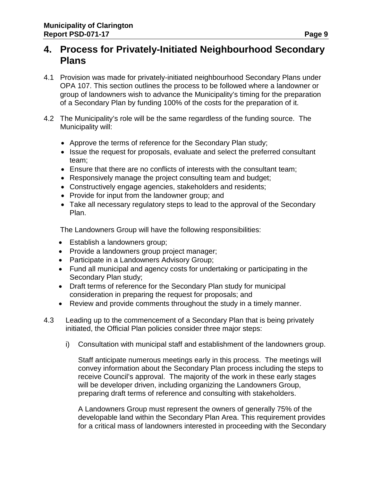### **4. Process for Privately-Initiated Neighbourhood Secondary Plans**

- 4.1 Provision was made for privately-initiated neighbourhood Secondary Plans under OPA 107. This section outlines the process to be followed where a landowner or group of landowners wish to advance the Municipality's timing for the preparation of a Secondary Plan by funding 100% of the costs for the preparation of it.
- 4.2 The Municipality's role will be the same regardless of the funding source. The Municipality will:
	- Approve the terms of reference for the Secondary Plan study;
	- Issue the request for proposals, evaluate and select the preferred consultant team;
	- Ensure that there are no conflicts of interests with the consultant team;
	- Responsively manage the project consulting team and budget;
	- Constructively engage agencies, stakeholders and residents;
	- Provide for input from the landowner group; and
	- Take all necessary regulatory steps to lead to the approval of the Secondary Plan.

The Landowners Group will have the following responsibilities:

- Establish a landowners group;
- Provide a landowners group project manager;
- Participate in a Landowners Advisory Group;
- Fund all municipal and agency costs for undertaking or participating in the Secondary Plan study;
- Draft terms of reference for the Secondary Plan study for municipal consideration in preparing the request for proposals; and
- Review and provide comments throughout the study in a timely manner.
- 4.3 Leading up to the commencement of a Secondary Plan that is being privately initiated, the Official Plan policies consider three major steps:
	- i) Consultation with municipal staff and establishment of the landowners group.

Staff anticipate numerous meetings early in this process. The meetings will convey information about the Secondary Plan process including the steps to receive Council's approval. The majority of the work in these early stages will be developer driven, including organizing the Landowners Group, preparing draft terms of reference and consulting with stakeholders.

A Landowners Group must represent the owners of generally 75% of the developable land within the Secondary Plan Area. This requirement provides for a critical mass of landowners interested in proceeding with the Secondary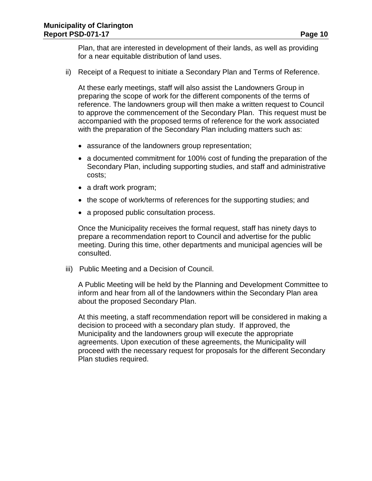Plan, that are interested in development of their lands, as well as providing for a near equitable distribution of land uses.

ii) Receipt of a Request to initiate a Secondary Plan and Terms of Reference.

At these early meetings, staff will also assist the Landowners Group in preparing the scope of work for the different components of the terms of reference. The landowners group will then make a written request to Council to approve the commencement of the Secondary Plan. This request must be accompanied with the proposed terms of reference for the work associated with the preparation of the Secondary Plan including matters such as:

- assurance of the landowners group representation;
- a documented commitment for 100% cost of funding the preparation of the Secondary Plan, including supporting studies, and staff and administrative costs;
- a draft work program;
- the scope of work/terms of references for the supporting studies; and
- a proposed public consultation process.

Once the Municipality receives the formal request, staff has ninety days to prepare a recommendation report to Council and advertise for the public meeting. During this time, other departments and municipal agencies will be consulted.

iii) Public Meeting and a Decision of Council.

A Public Meeting will be held by the Planning and Development Committee to inform and hear from all of the landowners within the Secondary Plan area about the proposed Secondary Plan.

At this meeting, a staff recommendation report will be considered in making a decision to proceed with a secondary plan study. If approved, the Municipality and the landowners group will execute the appropriate agreements. Upon execution of these agreements, the Municipality will proceed with the necessary request for proposals for the different Secondary Plan studies required.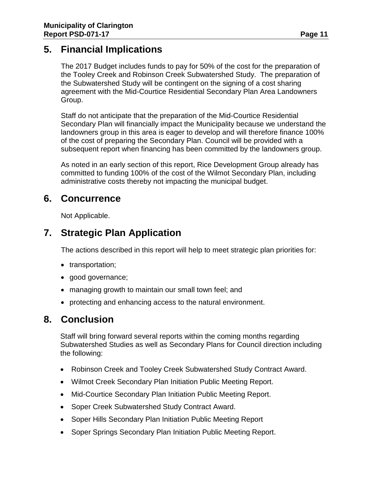# **5. Financial Implications**

The 2017 Budget includes funds to pay for 50% of the cost for the preparation of the Tooley Creek and Robinson Creek Subwatershed Study. The preparation of the Subwatershed Study will be contingent on the signing of a cost sharing agreement with the Mid-Courtice Residential Secondary Plan Area Landowners Group.

Staff do not anticipate that the preparation of the Mid-Courtice Residential Secondary Plan will financially impact the Municipality because we understand the landowners group in this area is eager to develop and will therefore finance 100% of the cost of preparing the Secondary Plan. Council will be provided with a subsequent report when financing has been committed by the landowners group.

As noted in an early section of this report, Rice Development Group already has committed to funding 100% of the cost of the Wilmot Secondary Plan, including administrative costs thereby not impacting the municipal budget.

# **6. Concurrence**

Not Applicable.

# **7. Strategic Plan Application**

The actions described in this report will help to meet strategic plan priorities for:

- transportation;
- good governance;
- managing growth to maintain our small town feel; and
- protecting and enhancing access to the natural environment.

# **8. Conclusion**

Staff will bring forward several reports within the coming months regarding Subwatershed Studies as well as Secondary Plans for Council direction including the following:

- Robinson Creek and Tooley Creek Subwatershed Study Contract Award.
- Wilmot Creek Secondary Plan Initiation Public Meeting Report.
- Mid-Courtice Secondary Plan Initiation Public Meeting Report.
- Soper Creek Subwatershed Study Contract Award.
- Soper Hills Secondary Plan Initiation Public Meeting Report
- Soper Springs Secondary Plan Initiation Public Meeting Report.